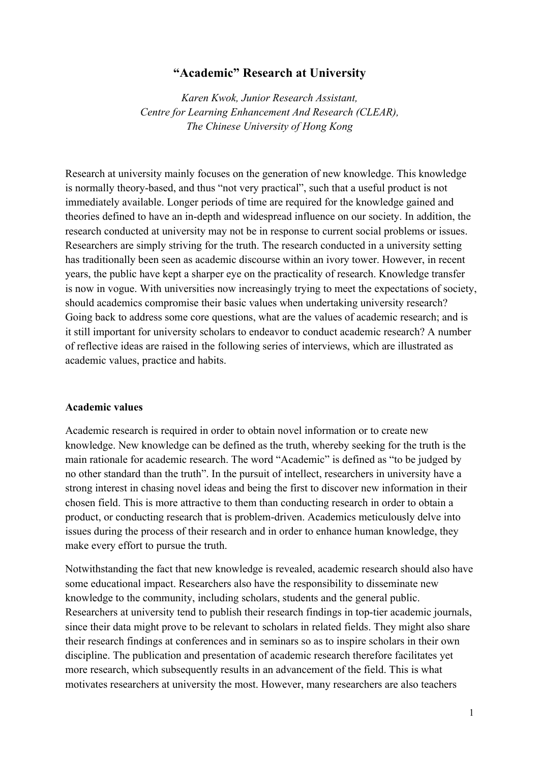## **"Academic" Research at University**

*Karen Kwok, Junior Research Assistant, Centre for Learning Enhancement And Research (CLEAR), The Chinese University of Hong Kong*

Research at university mainly focuses on the generation of new knowledge. This knowledge is normally theory-based, and thus "not very practical", such that a useful product is not immediately available. Longer periods of time are required for the knowledge gained and theories defined to have an in-depth and widespread influence on our society. In addition, the research conducted at university may not be in response to current social problems or issues. Researchers are simply striving for the truth. The research conducted in a university setting has traditionally been seen as academic discourse within an ivory tower. However, in recent years, the public have kept a sharper eye on the practicality of research. Knowledge transfer is now in vogue. With universities now increasingly trying to meet the expectations of society, should academics compromise their basic values when undertaking university research? Going back to address some core questions, what are the values of academic research; and is it still important for university scholars to endeavor to conduct academic research? A number of reflective ideas are raised in the following series of interviews, which are illustrated as academic values, practice and habits.

## **Academic values**

Academic research is required in order to obtain novel information or to create new knowledge. New knowledge can be defined as the truth, whereby seeking for the truth is the main rationale for academic research. The word "Academic" is defined as "to be judged by no other standard than the truth". In the pursuit of intellect, researchers in university have a strong interest in chasing novel ideas and being the first to discover new information in their chosen field. This is more attractive to them than conducting research in order to obtain a product, or conducting research that is problem-driven. Academics meticulously delve into issues during the process of their research and in order to enhance human knowledge, they make every effort to pursue the truth.

Notwithstanding the fact that new knowledge is revealed, academic research should also have some educational impact. Researchers also have the responsibility to disseminate new knowledge to the community, including scholars, students and the general public. Researchers at university tend to publish their research findings in top-tier academic journals, since their data might prove to be relevant to scholars in related fields. They might also share their research findings at conferences and in seminars so as to inspire scholars in their own discipline. The publication and presentation of academic research therefore facilitates yet more research, which subsequently results in an advancement of the field. This is what motivates researchers at university the most. However, many researchers are also teachers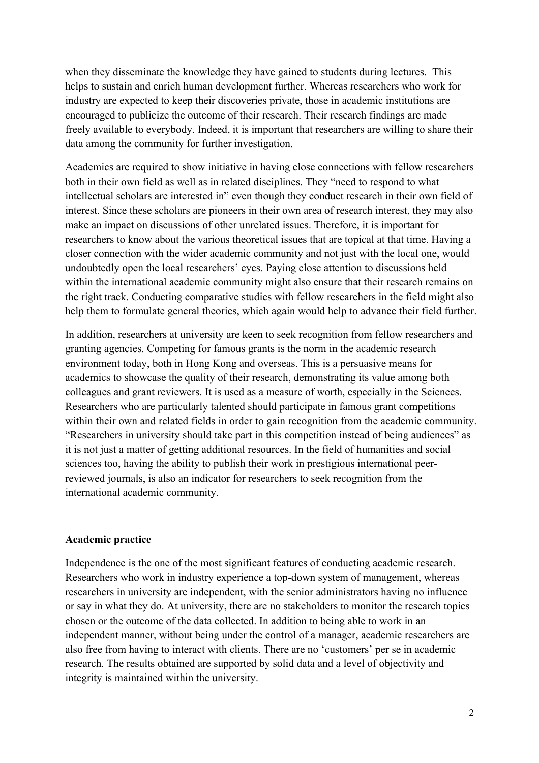when they disseminate the knowledge they have gained to students during lectures. This helps to sustain and enrich human development further. Whereas researchers who work for industry are expected to keep their discoveries private, those in academic institutions are encouraged to publicize the outcome of their research. Their research findings are made freely available to everybody. Indeed, it is important that researchers are willing to share their data among the community for further investigation.

Academics are required to show initiative in having close connections with fellow researchers both in their own field as well as in related disciplines. They "need to respond to what intellectual scholars are interested in" even though they conduct research in their own field of interest. Since these scholars are pioneers in their own area of research interest, they may also make an impact on discussions of other unrelated issues. Therefore, it is important for researchers to know about the various theoretical issues that are topical at that time. Having a closer connection with the wider academic community and not just with the local one, would undoubtedly open the local researchers' eyes. Paying close attention to discussions held within the international academic community might also ensure that their research remains on the right track. Conducting comparative studies with fellow researchers in the field might also help them to formulate general theories, which again would help to advance their field further.

In addition, researchers at university are keen to seek recognition from fellow researchers and granting agencies. Competing for famous grants is the norm in the academic research environment today, both in Hong Kong and overseas. This is a persuasive means for academics to showcase the quality of their research, demonstrating its value among both colleagues and grant reviewers. It is used as a measure of worth, especially in the Sciences. Researchers who are particularly talented should participate in famous grant competitions within their own and related fields in order to gain recognition from the academic community. "Researchers in university should take part in this competition instead of being audiences" as it is not just a matter of getting additional resources. In the field of humanities and social sciences too, having the ability to publish their work in prestigious international peerreviewed journals, is also an indicator for researchers to seek recognition from the international academic community.

## **Academic practice**

Independence is the one of the most significant features of conducting academic research. Researchers who work in industry experience a top-down system of management, whereas researchers in university are independent, with the senior administrators having no influence or say in what they do. At university, there are no stakeholders to monitor the research topics chosen or the outcome of the data collected. In addition to being able to work in an independent manner, without being under the control of a manager, academic researchers are also free from having to interact with clients. There are no 'customers' per se in academic research. The results obtained are supported by solid data and a level of objectivity and integrity is maintained within the university.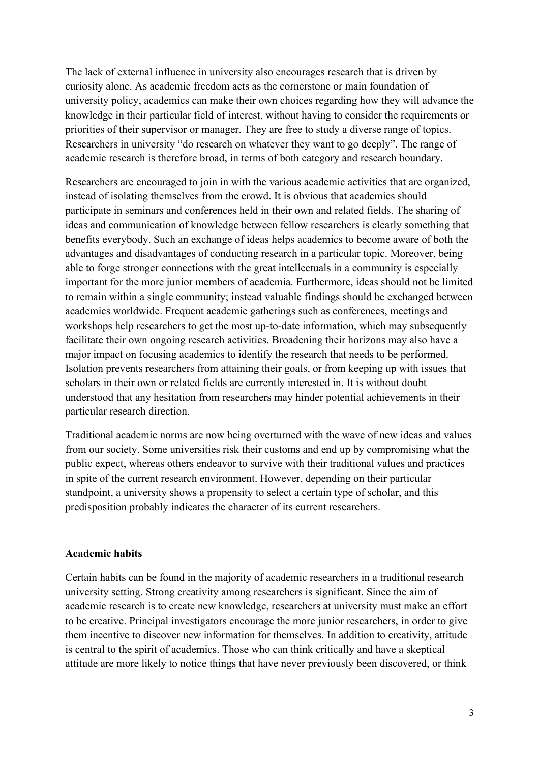The lack of external influence in university also encourages research that is driven by curiosity alone. As academic freedom acts as the cornerstone or main foundation of university policy, academics can make their own choices regarding how they will advance the knowledge in their particular field of interest, without having to consider the requirements or priorities of their supervisor or manager. They are free to study a diverse range of topics. Researchers in university "do research on whatever they want to go deeply". The range of academic research is therefore broad, in terms of both category and research boundary.

Researchers are encouraged to join in with the various academic activities that are organized, instead of isolating themselves from the crowd. It is obvious that academics should participate in seminars and conferences held in their own and related fields. The sharing of ideas and communication of knowledge between fellow researchers is clearly something that benefits everybody. Such an exchange of ideas helps academics to become aware of both the advantages and disadvantages of conducting research in a particular topic. Moreover, being able to forge stronger connections with the great intellectuals in a community is especially important for the more junior members of academia. Furthermore, ideas should not be limited to remain within a single community; instead valuable findings should be exchanged between academics worldwide. Frequent academic gatherings such as conferences, meetings and workshops help researchers to get the most up-to-date information, which may subsequently facilitate their own ongoing research activities. Broadening their horizons may also have a major impact on focusing academics to identify the research that needs to be performed. Isolation prevents researchers from attaining their goals, or from keeping up with issues that scholars in their own or related fields are currently interested in. It is without doubt understood that any hesitation from researchers may hinder potential achievements in their particular research direction.

Traditional academic norms are now being overturned with the wave of new ideas and values from our society. Some universities risk their customs and end up by compromising what the public expect, whereas others endeavor to survive with their traditional values and practices in spite of the current research environment. However, depending on their particular standpoint, a university shows a propensity to select a certain type of scholar, and this predisposition probably indicates the character of its current researchers.

## **Academic habits**

Certain habits can be found in the majority of academic researchers in a traditional research university setting. Strong creativity among researchers is significant. Since the aim of academic research is to create new knowledge, researchers at university must make an effort to be creative. Principal investigators encourage the more junior researchers, in order to give them incentive to discover new information for themselves. In addition to creativity, attitude is central to the spirit of academics. Those who can think critically and have a skeptical attitude are more likely to notice things that have never previously been discovered, or think